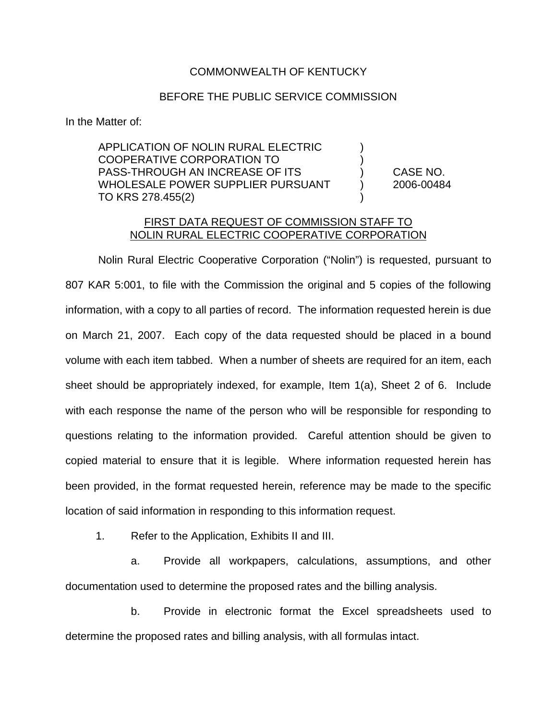## COMMONWEALTH OF KENTUCKY

## BEFORE THE PUBLIC SERVICE COMMISSION

In the Matter of:

APPLICATION OF NOLIN RURAL ELECTRIC ) COOPERATIVE CORPORATION TO ) PASS-THROUGH AN INCREASE OF ITS ) CASE NO. WHOLESALE POWER SUPPLIER PURSUANT (2006-00484 TO KRS 278.455(2)

## FIRST DATA REQUEST OF COMMISSION STAFF TO NOLIN RURAL ELECTRIC COOPERATIVE CORPORATION

Nolin Rural Electric Cooperative Corporation ("Nolin") is requested, pursuant to 807 KAR 5:001, to file with the Commission the original and 5 copies of the following information, with a copy to all parties of record. The information requested herein is due on March 21, 2007. Each copy of the data requested should be placed in a bound volume with each item tabbed. When a number of sheets are required for an item, each sheet should be appropriately indexed, for example, Item 1(a), Sheet 2 of 6. Include with each response the name of the person who will be responsible for responding to questions relating to the information provided. Careful attention should be given to copied material to ensure that it is legible. Where information requested herein has been provided, in the format requested herein, reference may be made to the specific location of said information in responding to this information request.

1. Refer to the Application, Exhibits II and III.

a. Provide all workpapers, calculations, assumptions, and other documentation used to determine the proposed rates and the billing analysis.

b. Provide in electronic format the Excel spreadsheets used to determine the proposed rates and billing analysis, with all formulas intact.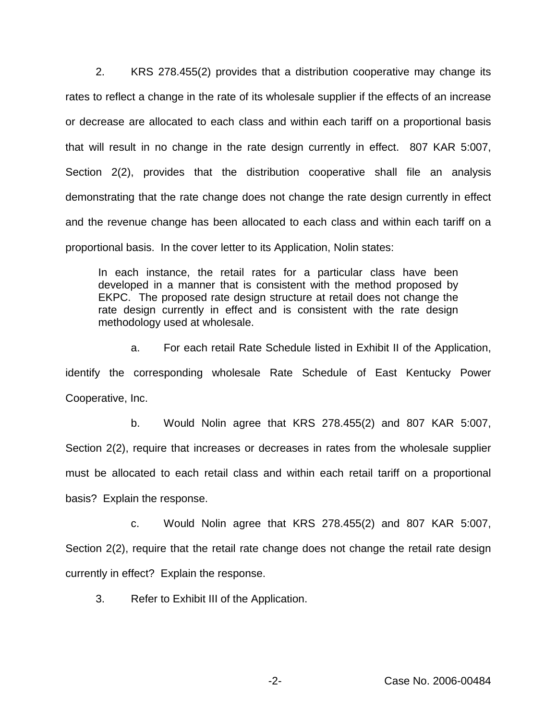2. KRS 278.455(2) provides that a distribution cooperative may change its rates to reflect a change in the rate of its wholesale supplier if the effects of an increase or decrease are allocated to each class and within each tariff on a proportional basis that will result in no change in the rate design currently in effect. 807 KAR 5:007, Section 2(2), provides that the distribution cooperative shall file an analysis demonstrating that the rate change does not change the rate design currently in effect and the revenue change has been allocated to each class and within each tariff on a proportional basis. In the cover letter to its Application, Nolin states:

In each instance, the retail rates for a particular class have been developed in a manner that is consistent with the method proposed by EKPC. The proposed rate design structure at retail does not change the rate design currently in effect and is consistent with the rate design methodology used at wholesale.

a. For each retail Rate Schedule listed in Exhibit II of the Application, identify the corresponding wholesale Rate Schedule of East Kentucky Power Cooperative, Inc.

b. Would Nolin agree that KRS 278.455(2) and 807 KAR 5:007, Section 2(2), require that increases or decreases in rates from the wholesale supplier must be allocated to each retail class and within each retail tariff on a proportional basis? Explain the response.

c. Would Nolin agree that KRS 278.455(2) and 807 KAR 5:007, Section 2(2), require that the retail rate change does not change the retail rate design currently in effect? Explain the response.

3. Refer to Exhibit III of the Application.